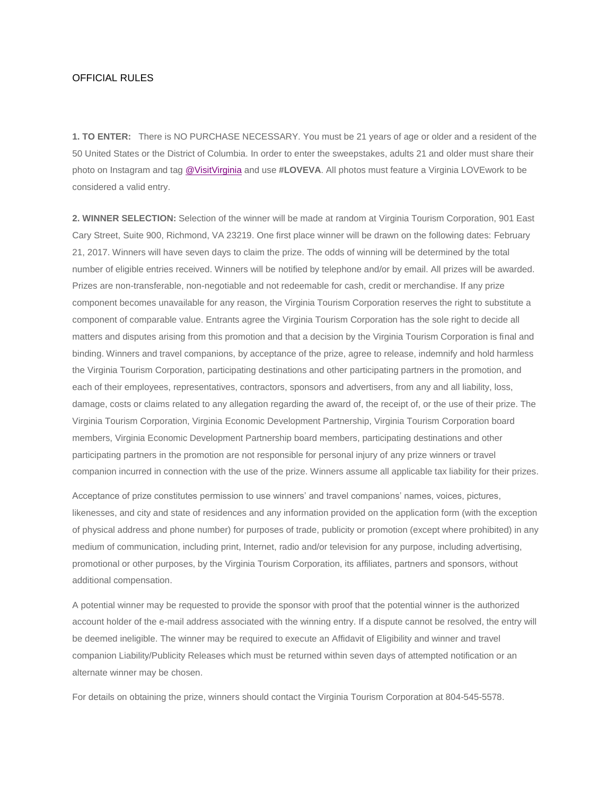## OFFICIAL RULES

**1. TO ENTER:** There is NO PURCHASE NECESSARY. You must be 21 years of age or older and a resident of the 50 United States or the District of Columbia. In order to enter the sweepstakes, adults 21 and older must share their photo on Instagram and ta[g @VisitVirginia](https://www.instagram.com/visitvirginia/) and use **#LOVEVA**. All photos must feature a Virginia LOVEwork to be considered a valid entry.

**2. WINNER SELECTION:** Selection of the winner will be made at random at Virginia Tourism Corporation, 901 East Cary Street, Suite 900, Richmond, VA 23219. One first place winner will be drawn on the following dates: February 21, 2017. Winners will have seven days to claim the prize. The odds of winning will be determined by the total number of eligible entries received. Winners will be notified by telephone and/or by email. All prizes will be awarded. Prizes are non-transferable, non-negotiable and not redeemable for cash, credit or merchandise. If any prize component becomes unavailable for any reason, the Virginia Tourism Corporation reserves the right to substitute a component of comparable value. Entrants agree the Virginia Tourism Corporation has the sole right to decide all matters and disputes arising from this promotion and that a decision by the Virginia Tourism Corporation is final and binding. Winners and travel companions, by acceptance of the prize, agree to release, indemnify and hold harmless the Virginia Tourism Corporation, participating destinations and other participating partners in the promotion, and each of their employees, representatives, contractors, sponsors and advertisers, from any and all liability, loss, damage, costs or claims related to any allegation regarding the award of, the receipt of, or the use of their prize. The Virginia Tourism Corporation, Virginia Economic Development Partnership, Virginia Tourism Corporation board members, Virginia Economic Development Partnership board members, participating destinations and other participating partners in the promotion are not responsible for personal injury of any prize winners or travel companion incurred in connection with the use of the prize. Winners assume all applicable tax liability for their prizes.

Acceptance of prize constitutes permission to use winners' and travel companions' names, voices, pictures, likenesses, and city and state of residences and any information provided on the application form (with the exception of physical address and phone number) for purposes of trade, publicity or promotion (except where prohibited) in any medium of communication, including print, Internet, radio and/or television for any purpose, including advertising, promotional or other purposes, by the Virginia Tourism Corporation, its affiliates, partners and sponsors, without additional compensation.

A potential winner may be requested to provide the sponsor with proof that the potential winner is the authorized account holder of the e-mail address associated with the winning entry. If a dispute cannot be resolved, the entry will be deemed ineligible. The winner may be required to execute an Affidavit of Eligibility and winner and travel companion Liability/Publicity Releases which must be returned within seven days of attempted notification or an alternate winner may be chosen.

For details on obtaining the prize, winners should contact the Virginia Tourism Corporation at 804-545-5578.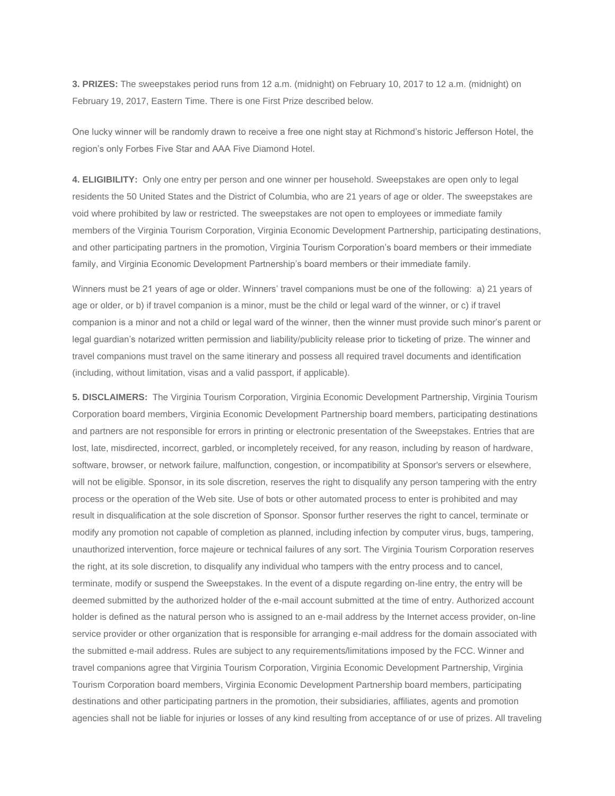**3. PRIZES:** The sweepstakes period runs from 12 a.m. (midnight) on February 10, 2017 to 12 a.m. (midnight) on February 19, 2017, Eastern Time. There is one First Prize described below.

One lucky winner will be randomly drawn to receive a free one night stay at Richmond's historic Jefferson Hotel, the region's only Forbes Five Star and AAA Five Diamond Hotel.

**4. ELIGIBILITY:** Only one entry per person and one winner per household. Sweepstakes are open only to legal residents the 50 United States and the District of Columbia, who are 21 years of age or older. The sweepstakes are void where prohibited by law or restricted. The sweepstakes are not open to employees or immediate family members of the Virginia Tourism Corporation, Virginia Economic Development Partnership, participating destinations, and other participating partners in the promotion, Virginia Tourism Corporation's board members or their immediate family, and Virginia Economic Development Partnership's board members or their immediate family.

Winners must be 21 years of age or older. Winners' travel companions must be one of the following: a) 21 years of age or older, or b) if travel companion is a minor, must be the child or legal ward of the winner, or c) if travel companion is a minor and not a child or legal ward of the winner, then the winner must provide such minor's parent or legal guardian's notarized written permission and liability/publicity release prior to ticketing of prize. The winner and travel companions must travel on the same itinerary and possess all required travel documents and identification (including, without limitation, visas and a valid passport, if applicable).

**5. DISCLAIMERS:** The Virginia Tourism Corporation, Virginia Economic Development Partnership, Virginia Tourism Corporation board members, Virginia Economic Development Partnership board members, participating destinations and partners are not responsible for errors in printing or electronic presentation of the Sweepstakes. Entries that are lost, late, misdirected, incorrect, garbled, or incompletely received, for any reason, including by reason of hardware, software, browser, or network failure, malfunction, congestion, or incompatibility at Sponsor's servers or elsewhere, will not be eligible. Sponsor, in its sole discretion, reserves the right to disqualify any person tampering with the entry process or the operation of the Web site. Use of bots or other automated process to enter is prohibited and may result in disqualification at the sole discretion of Sponsor. Sponsor further reserves the right to cancel, terminate or modify any promotion not capable of completion as planned, including infection by computer virus, bugs, tampering, unauthorized intervention, force majeure or technical failures of any sort. The Virginia Tourism Corporation reserves the right, at its sole discretion, to disqualify any individual who tampers with the entry process and to cancel, terminate, modify or suspend the Sweepstakes. In the event of a dispute regarding on-line entry, the entry will be deemed submitted by the authorized holder of the e-mail account submitted at the time of entry. Authorized account holder is defined as the natural person who is assigned to an e-mail address by the Internet access provider, on-line service provider or other organization that is responsible for arranging e-mail address for the domain associated with the submitted e-mail address. Rules are subject to any requirements/limitations imposed by the FCC. Winner and travel companions agree that Virginia Tourism Corporation, Virginia Economic Development Partnership, Virginia Tourism Corporation board members, Virginia Economic Development Partnership board members, participating destinations and other participating partners in the promotion, their subsidiaries, affiliates, agents and promotion agencies shall not be liable for injuries or losses of any kind resulting from acceptance of or use of prizes. All traveling